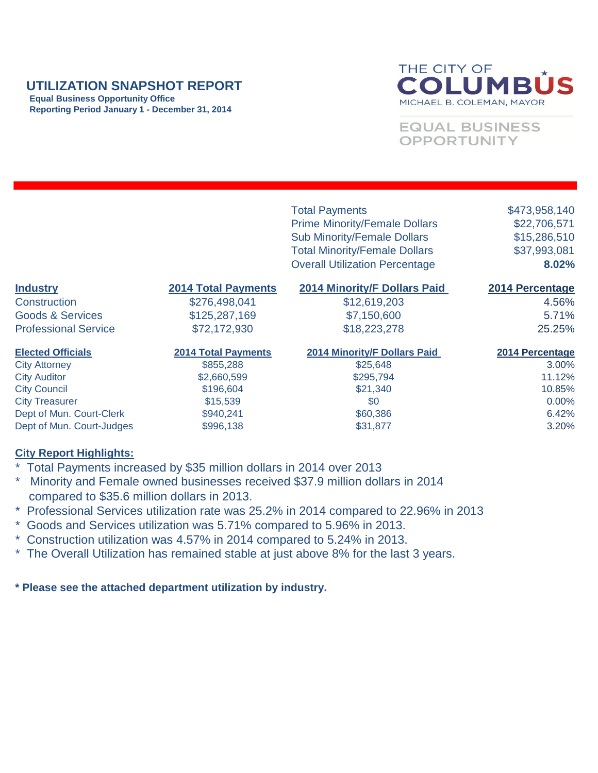## **UTILIZATION SNAPSHOT REPORT**

 **Equal Business Opportunity Office Reporting Period January 1 - December 31, 2014**



**EQUAL BUSINESS** OPPORTUNITY

|                             |                            | <b>Total Payments</b><br><b>Prime Minority/Female Dollars</b><br><b>Sub Minority/Female Dollars</b><br><b>Total Minority/Female Dollars</b><br><b>Overall Utilization Percentage</b> | \$473,958,140<br>\$22,706,571<br>\$15,286,510<br>\$37,993,081<br>8.02% |
|-----------------------------|----------------------------|--------------------------------------------------------------------------------------------------------------------------------------------------------------------------------------|------------------------------------------------------------------------|
| <b>Industry</b>             | <b>2014 Total Payments</b> | <b>2014 Minority/F Dollars Paid</b>                                                                                                                                                  | 2014 Percentage                                                        |
| Construction                | \$276,498,041              | \$12,619,203                                                                                                                                                                         | 4.56%                                                                  |
| <b>Goods &amp; Services</b> | \$125,287,169              | \$7,150,600                                                                                                                                                                          | 5.71%                                                                  |
| <b>Professional Service</b> | \$72,172,930               | \$18,223,278                                                                                                                                                                         | 25.25%                                                                 |
| <b>Elected Officials</b>    | <b>2014 Total Payments</b> | <b>2014 Minority/F Dollars Paid</b>                                                                                                                                                  | 2014 Percentage                                                        |
| <b>City Attorney</b>        | \$855,288                  | \$25,648                                                                                                                                                                             | 3.00%                                                                  |
| <b>City Auditor</b>         | \$2,660,599                | \$295,794                                                                                                                                                                            | 11.12%                                                                 |
| <b>City Council</b>         | \$196,604                  | \$21,340                                                                                                                                                                             | 10.85%                                                                 |
| <b>City Treasurer</b>       | \$15,539                   | \$0                                                                                                                                                                                  | $0.00\%$                                                               |

Dept of Mun. Court-Clerk  $$940,241$  \$60,386 6.42% Dept of Mun. Court-Judges  $$996,138$  \$31,877 \$31,877 3.20%

## **City Report Highlights:**

- Total Payments increased by \$35 million dollars in 2014 over 2013
- Minority and Female owned businesses received \$37.9 million dollars in 2014 compared to \$35.6 million dollars in 2013.
- \* Professional Services utilization rate was 25.2% in 2014 compared to 22.96% in 2013
- \* Goods and Services utilization was 5.71% compared to 5.96% in 2013.
- \* Construction utilization was 4.57% in 2014 compared to 5.24% in 2013.
- \* The Overall Utilization has remained stable at just above 8% for the last 3 years.

**\* Please see the attached department utilization by industry.**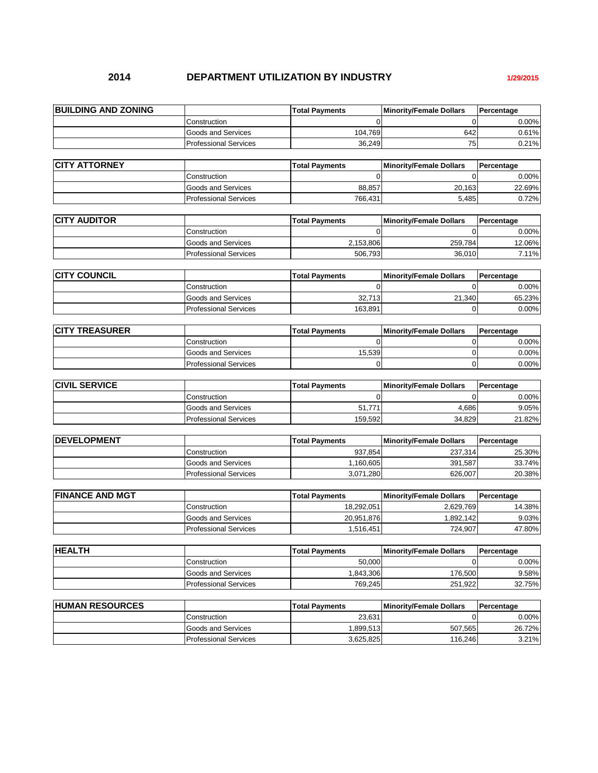## **2014 DEPARTMENT UTILIZATION BY INDUSTRY 1/29/2015**

| <b>BUILDING AND ZONING</b> |                              | <b>Total Pavments</b> | <b>Minority/Female Dollars</b> | Percentage |
|----------------------------|------------------------------|-----------------------|--------------------------------|------------|
|                            | Construction                 |                       |                                | $0.00\%$   |
|                            | Goods and Services           | 104.769               | 642                            | 0.61%l     |
|                            | <b>Professional Services</b> | 36,249                | 75 <sub>1</sub>                | 0.21%      |

| <b>ICITY ATTORNEY</b> |                           | <b>Total Pavments</b> | <b>Minority/Female Dollars</b> | <b>Percentage</b> |
|-----------------------|---------------------------|-----------------------|--------------------------------|-------------------|
|                       | Construction              |                       |                                | $0.00\%$          |
|                       | <b>Goods and Services</b> | 88.8571               | 20.163                         | 22.69%            |
|                       | Professional Services     | 766.431               | 5.485                          | 0.72%             |

| <b>CITY AUDITOR</b> |                              | <b>Total Pavments</b> | <b>Minority/Female Dollars</b> | Percentage |
|---------------------|------------------------------|-----------------------|--------------------------------|------------|
|                     | Construction                 |                       |                                | $0.00\%$   |
|                     | Goods and Services           | 2.153.806             | 259.784                        | 12.06%     |
|                     | <b>Professional Services</b> | 506.793               | 36.010                         | 7.11%      |
|                     |                              |                       |                                |            |

| <b>ICITY COUNCIL</b> |                              | lTotal Pavments | <b>Minority/Female Dollars</b> | <b>Percentage</b> |
|----------------------|------------------------------|-----------------|--------------------------------|-------------------|
|                      | Construction                 |                 |                                | 0.00%             |
|                      | Goods and Services           | 32.713          | 21.340                         | 65.23%            |
|                      | <b>Professional Services</b> | 163.891         |                                | 0.00%             |

| <b>ICITY TREASURER</b> |                              | <b>Total Pavments</b> | <b>Minority/Female Dollars</b> | Percentage |
|------------------------|------------------------------|-----------------------|--------------------------------|------------|
|                        | Construction                 |                       |                                | $0.00\%$   |
|                        | Goods and Services           | 15.539                |                                | $0.00\%$   |
|                        | <b>Professional Services</b> |                       |                                | $0.00\%$   |

| <b>CIVIL SERVICE</b> |                              | <b>Total Payments</b> | Minority/Female Dollars | Percentage |
|----------------------|------------------------------|-----------------------|-------------------------|------------|
|                      | Construction                 |                       |                         | 0.00%      |
|                      | <b>Goods and Services</b>    | 51,771                | 4.686                   | 9.05%      |
|                      | <b>Professional Services</b> | 159,592               | 34.829                  | 21.82%     |

| <b>IDEVELOPMENT</b> |                               | <b>Total Pavments</b> | <b>Minority/Female Dollars</b> | <b>IPercentage</b> |
|---------------------|-------------------------------|-----------------------|--------------------------------|--------------------|
|                     | Construction                  | 937.854               | 237.314                        | 25.30%             |
|                     | Goods and Services            | .160.605              | 391.587                        | 33.74%             |
|                     | <b>IProfessional Services</b> | 3.071.280             | 626.007                        | 20.38%             |

| <b>IFINANCE AND MGT</b> |                              | lTotal Pavments | <b>Minority/Female Dollars</b> | Percentage |
|-------------------------|------------------------------|-----------------|--------------------------------|------------|
|                         | Construction                 | 18,292,051      | 2.629.769                      | 14.38%     |
|                         | Goods and Services           | 20,951,876      | 1.892.142                      | 9.03%      |
|                         | <b>Professional Services</b> | .516.451        | 724.907                        | 47.80%     |

| <b>HEALTH</b> |                              | lTotal Pavments | <b>Minority/Female Dollars</b> | Percentage |
|---------------|------------------------------|-----------------|--------------------------------|------------|
|               | Construction                 | 50.000          |                                | 0.00%      |
|               | Goods and Services           | .843.306        | 176.500                        | 9.58%      |
|               | <b>Professional Services</b> | 769,245         | 251.922                        | 32.75%     |

| <b>HUMAN RESOURCES</b> |                              | lTotal Pavments | <b>Minority/Female Dollars</b> | Percentage |
|------------------------|------------------------------|-----------------|--------------------------------|------------|
|                        | Construction                 | 23.631          |                                | 0.00%I     |
|                        | Goods and Services           | .899.513        | 507.565                        | 26.72%     |
|                        | <b>Professional Services</b> | 3.625.825       | 116.246                        | 3.21%      |